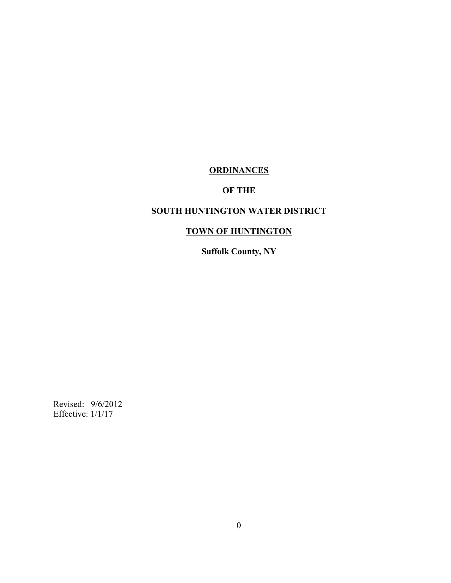# **ORDINANCES**

# **OF THE**

# **SOUTH HUNTINGTON WATER DISTRICT**

# **TOWN OF HUNTINGTON**

# **Suffolk County, NY**

Revised: 9/6/2012 Effective: 1/1/17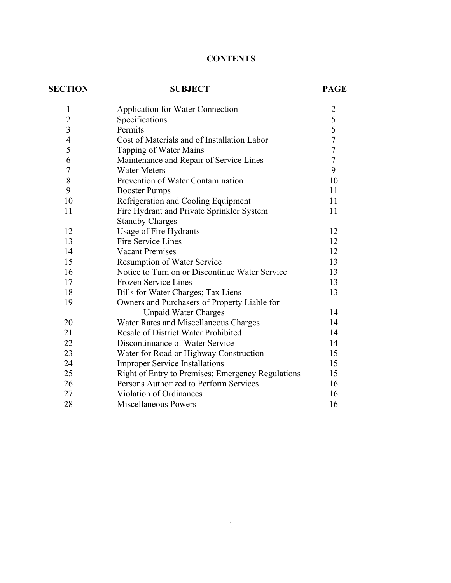# **CONTENTS**

| <b>SECTION</b> | <b>SUBJECT</b>                                    | <b>PAGE</b>    |
|----------------|---------------------------------------------------|----------------|
| 1              | <b>Application for Water Connection</b>           | $\overline{c}$ |
| $\overline{c}$ | Specifications                                    | 5              |
| $\overline{3}$ | Permits                                           | 5              |
| $\overline{4}$ | Cost of Materials and of Installation Labor       | $\overline{7}$ |
| 5              | Tapping of Water Mains                            | $\overline{7}$ |
| 6              | Maintenance and Repair of Service Lines           | $\overline{7}$ |
| $\overline{7}$ | <b>Water Meters</b>                               | 9              |
| 8              | Prevention of Water Contamination                 | 10             |
| 9              | <b>Booster Pumps</b>                              | 11             |
| 10             | Refrigeration and Cooling Equipment               | 11             |
| 11             | Fire Hydrant and Private Sprinkler System         | 11             |
|                | <b>Standby Charges</b>                            |                |
| 12             | Usage of Fire Hydrants                            | 12             |
| 13             | <b>Fire Service Lines</b>                         | 12             |
| 14             | <b>Vacant Premises</b>                            | 12             |
| 15             | <b>Resumption of Water Service</b>                | 13             |
| 16             | Notice to Turn on or Discontinue Water Service    | 13             |
| 17             | <b>Frozen Service Lines</b>                       | 13             |
| 18             | Bills for Water Charges; Tax Liens                | 13             |
| 19             | Owners and Purchasers of Property Liable for      |                |
|                | <b>Unpaid Water Charges</b>                       | 14             |
| 20             | Water Rates and Miscellaneous Charges             | 14             |
| 21             | <b>Resale of District Water Prohibited</b>        | 14             |
| 22             | Discontinuance of Water Service                   | 14             |
| 23             | Water for Road or Highway Construction            | 15             |
| 24             | <b>Improper Service Installations</b>             | 15             |
| 25             | Right of Entry to Premises; Emergency Regulations | 15             |
| 26             | Persons Authorized to Perform Services            | 16             |
| 27             | Violation of Ordinances                           | 16             |
| 28             | Miscellaneous Powers                              | 16             |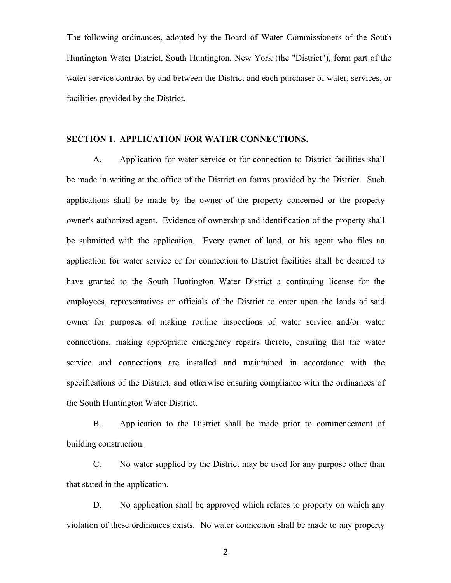The following ordinances, adopted by the Board of Water Commissioners of the South Huntington Water District, South Huntington, New York (the "District"), form part of the water service contract by and between the District and each purchaser of water, services, or facilities provided by the District.

## **SECTION 1. APPLICATION FOR WATER CONNECTIONS.**

A. Application for water service or for connection to District facilities shall be made in writing at the office of the District on forms provided by the District. Such applications shall be made by the owner of the property concerned or the property owner's authorized agent. Evidence of ownership and identification of the property shall be submitted with the application. Every owner of land, or his agent who files an application for water service or for connection to District facilities shall be deemed to have granted to the South Huntington Water District a continuing license for the employees, representatives or officials of the District to enter upon the lands of said owner for purposes of making routine inspections of water service and/or water connections, making appropriate emergency repairs thereto, ensuring that the water service and connections are installed and maintained in accordance with the specifications of the District, and otherwise ensuring compliance with the ordinances of the South Huntington Water District.

B. Application to the District shall be made prior to commencement of building construction.

C. No water supplied by the District may be used for any purpose other than that stated in the application.

D. No application shall be approved which relates to property on which any violation of these ordinances exists. No water connection shall be made to any property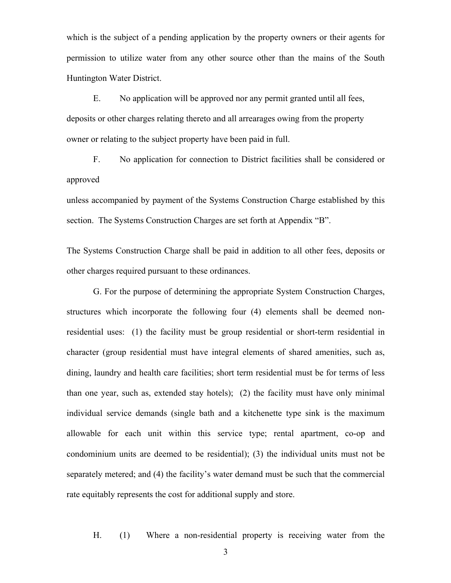which is the subject of a pending application by the property owners or their agents for permission to utilize water from any other source other than the mains of the South Huntington Water District.

E. No application will be approved nor any permit granted until all fees, deposits or other charges relating thereto and all arrearages owing from the property owner or relating to the subject property have been paid in full.

F. No application for connection to District facilities shall be considered or approved

unless accompanied by payment of the Systems Construction Charge established by this section. The Systems Construction Charges are set forth at Appendix "B".

The Systems Construction Charge shall be paid in addition to all other fees, deposits or other charges required pursuant to these ordinances.

G. For the purpose of determining the appropriate System Construction Charges, structures which incorporate the following four (4) elements shall be deemed nonresidential uses: (1) the facility must be group residential or short-term residential in character (group residential must have integral elements of shared amenities, such as, dining, laundry and health care facilities; short term residential must be for terms of less than one year, such as, extended stay hotels); (2) the facility must have only minimal individual service demands (single bath and a kitchenette type sink is the maximum allowable for each unit within this service type; rental apartment, co-op and condominium units are deemed to be residential); (3) the individual units must not be separately metered; and (4) the facility's water demand must be such that the commercial rate equitably represents the cost for additional supply and store.

H. (1) Where a non-residential property is receiving water from the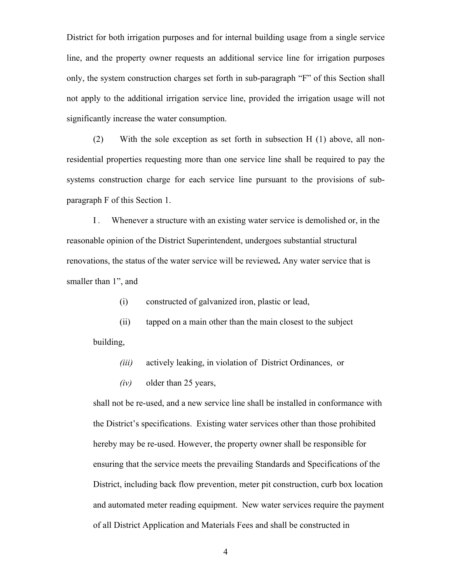District for both irrigation purposes and for internal building usage from a single service line, and the property owner requests an additional service line for irrigation purposes only, the system construction charges set forth in sub-paragraph "F" of this Section shall not apply to the additional irrigation service line, provided the irrigation usage will not significantly increase the water consumption.

(2) With the sole exception as set forth in subsection H (1) above, all nonresidential properties requesting more than one service line shall be required to pay the systems construction charge for each service line pursuant to the provisions of subparagraph F of this Section 1.

I *.* Whenever a structure with an existing water service is demolished or, in the reasonable opinion of the District Superintendent, undergoes substantial structural renovations, the status of the water service will be reviewed**.** Any water service that is smaller than 1", and

(i) constructed of galvanized iron, plastic or lead,

(ii) tapped on a main other than the main closest to the subject building,

*(iii)* actively leaking, in violation of District Ordinances, or

*(iv)* older than 25 years,

shall not be re-used, and a new service line shall be installed in conformance with the District's specifications. Existing water services other than those prohibited hereby may be re-used. However, the property owner shall be responsible for ensuring that the service meets the prevailing Standards and Specifications of the District, including back flow prevention, meter pit construction, curb box location and automated meter reading equipment. New water services require the payment of all District Application and Materials Fees and shall be constructed in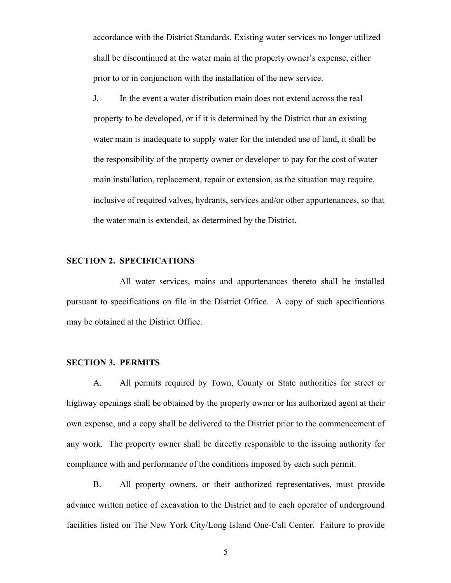accordance with the District Standards. Existing water services no longer utilized shall be discontinued at the water main at the property owner's expense, either prior to or in conjunction with the installation of the new service.

J. In the event a water distribution main does not extend across the real property to be developed, or if it is determined by the District that an existing water main is inadequate to supply water for the intended use of land, it shall be the responsibility of the property owner or developer to pay for the cost of water main installation, replacement, repair or extension, as the situation may require, inclusive of required valves, hydrants, services and/or other appurtenances, so that the water main is extended, as determined by the District.

#### **SECTION 2. SPECIFICATIONS**

All water services, mains and appurtenances thereto shall be installed pursuant to specifications on file in the District Office. A copy of such specifications may be obtained at the District Office.

#### **SECTION 3. PERMITS**

A. All permits required by Town, County or State authorities for street or highway openings shall be obtained by the property owner or his authorized agent at their own expense, and a copy shall be delivered to the District prior to the commencement of any work. The property owner shall be directly responsible to the issuing authority for compliance with and performance of the conditions imposed by each such permit.

B. All property owners, or their authorized representatives, must provide advance written notice of excavation to the District and to each operator of underground facilities listed on The New York City/Long Island One-Call Center. Failure to provide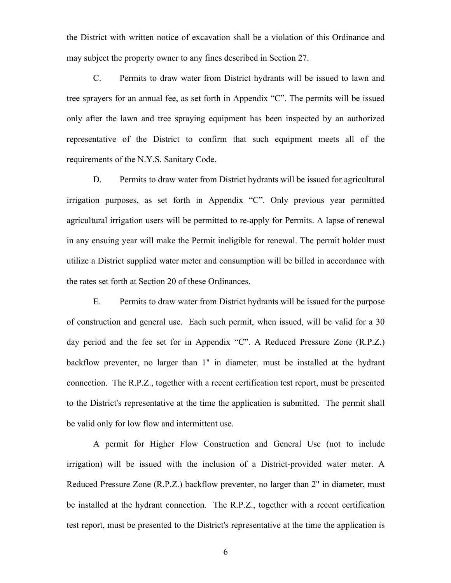the District with written notice of excavation shall be a violation of this Ordinance and may subject the property owner to any fines described in Section 27.

C. Permits to draw water from District hydrants will be issued to lawn and tree sprayers for an annual fee, as set forth in Appendix "C". The permits will be issued only after the lawn and tree spraying equipment has been inspected by an authorized representative of the District to confirm that such equipment meets all of the requirements of the N.Y.S. Sanitary Code.

D. Permits to draw water from District hydrants will be issued for agricultural irrigation purposes, as set forth in Appendix "C". Only previous year permitted agricultural irrigation users will be permitted to re-apply for Permits. A lapse of renewal in any ensuing year will make the Permit ineligible for renewal. The permit holder must utilize a District supplied water meter and consumption will be billed in accordance with the rates set forth at Section 20 of these Ordinances.

E. Permits to draw water from District hydrants will be issued for the purpose of construction and general use. Each such permit, when issued, will be valid for a 30 day period and the fee set for in Appendix "C". A Reduced Pressure Zone (R.P.Z.) backflow preventer, no larger than 1" in diameter, must be installed at the hydrant connection. The R.P.Z., together with a recent certification test report, must be presented to the District's representative at the time the application is submitted. The permit shall be valid only for low flow and intermittent use.

A permit for Higher Flow Construction and General Use (not to include irrigation) will be issued with the inclusion of a District-provided water meter. A Reduced Pressure Zone (R.P.Z.) backflow preventer, no larger than 2" in diameter, must be installed at the hydrant connection. The R.P.Z., together with a recent certification test report, must be presented to the District's representative at the time the application is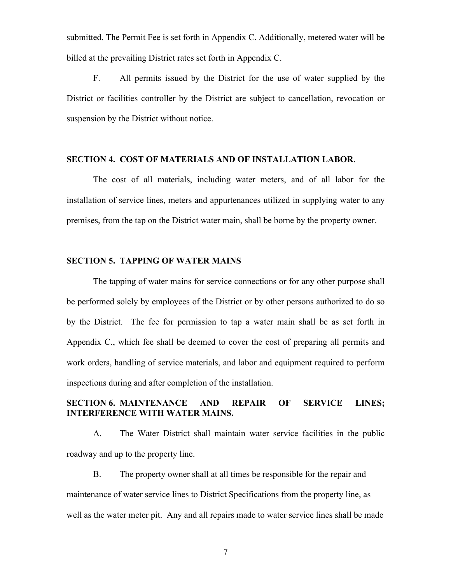submitted. The Permit Fee is set forth in Appendix C. Additionally, metered water will be billed at the prevailing District rates set forth in Appendix C.

F. All permits issued by the District for the use of water supplied by the District or facilities controller by the District are subject to cancellation, revocation or suspension by the District without notice.

## **SECTION 4. COST OF MATERIALS AND OF INSTALLATION LABOR**.

The cost of all materials, including water meters, and of all labor for the installation of service lines, meters and appurtenances utilized in supplying water to any premises, from the tap on the District water main, shall be borne by the property owner.

## **SECTION 5. TAPPING OF WATER MAINS**

The tapping of water mains for service connections or for any other purpose shall be performed solely by employees of the District or by other persons authorized to do so by the District. The fee for permission to tap a water main shall be as set forth in Appendix C., which fee shall be deemed to cover the cost of preparing all permits and work orders, handling of service materials, and labor and equipment required to perform inspections during and after completion of the installation.

## **SECTION 6. MAINTENANCE AND REPAIR OF SERVICE LINES; INTERFERENCE WITH WATER MAINS.**

A. The Water District shall maintain water service facilities in the public roadway and up to the property line.

B. The property owner shall at all times be responsible for the repair and maintenance of water service lines to District Specifications from the property line, as well as the water meter pit. Any and all repairs made to water service lines shall be made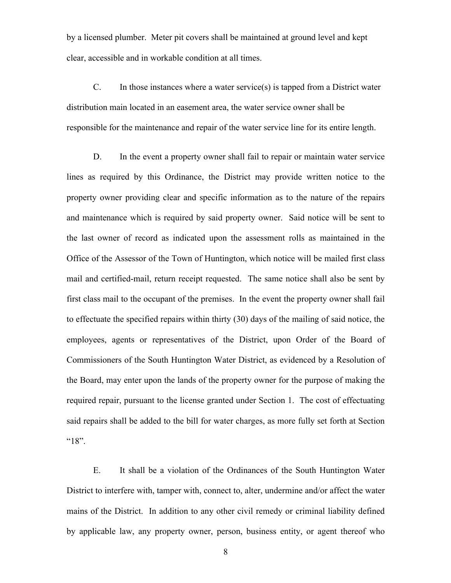by a licensed plumber. Meter pit covers shall be maintained at ground level and kept clear, accessible and in workable condition at all times.

C. In those instances where a water service(s) is tapped from a District water distribution main located in an easement area, the water service owner shall be responsible for the maintenance and repair of the water service line for its entire length.

D. In the event a property owner shall fail to repair or maintain water service lines as required by this Ordinance, the District may provide written notice to the property owner providing clear and specific information as to the nature of the repairs and maintenance which is required by said property owner. Said notice will be sent to the last owner of record as indicated upon the assessment rolls as maintained in the Office of the Assessor of the Town of Huntington, which notice will be mailed first class mail and certified-mail, return receipt requested. The same notice shall also be sent by first class mail to the occupant of the premises. In the event the property owner shall fail to effectuate the specified repairs within thirty (30) days of the mailing of said notice, the employees, agents or representatives of the District, upon Order of the Board of Commissioners of the South Huntington Water District, as evidenced by a Resolution of the Board, may enter upon the lands of the property owner for the purpose of making the required repair, pursuant to the license granted under Section 1. The cost of effectuating said repairs shall be added to the bill for water charges, as more fully set forth at Section  $^{\prime\prime}18$ ".

E. It shall be a violation of the Ordinances of the South Huntington Water District to interfere with, tamper with, connect to, alter, undermine and/or affect the water mains of the District. In addition to any other civil remedy or criminal liability defined by applicable law, any property owner, person, business entity, or agent thereof who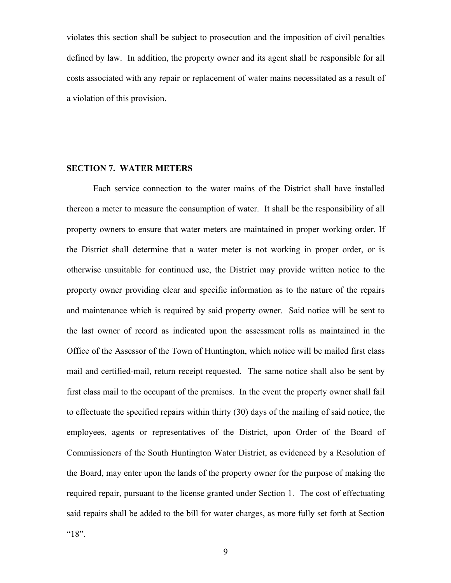violates this section shall be subject to prosecution and the imposition of civil penalties defined by law. In addition, the property owner and its agent shall be responsible for all costs associated with any repair or replacement of water mains necessitated as a result of a violation of this provision.

#### **SECTION 7. WATER METERS**

Each service connection to the water mains of the District shall have installed thereon a meter to measure the consumption of water. It shall be the responsibility of all property owners to ensure that water meters are maintained in proper working order. If the District shall determine that a water meter is not working in proper order, or is otherwise unsuitable for continued use, the District may provide written notice to the property owner providing clear and specific information as to the nature of the repairs and maintenance which is required by said property owner. Said notice will be sent to the last owner of record as indicated upon the assessment rolls as maintained in the Office of the Assessor of the Town of Huntington, which notice will be mailed first class mail and certified-mail, return receipt requested. The same notice shall also be sent by first class mail to the occupant of the premises. In the event the property owner shall fail to effectuate the specified repairs within thirty (30) days of the mailing of said notice, the employees, agents or representatives of the District, upon Order of the Board of Commissioners of the South Huntington Water District, as evidenced by a Resolution of the Board, may enter upon the lands of the property owner for the purpose of making the required repair, pursuant to the license granted under Section 1. The cost of effectuating said repairs shall be added to the bill for water charges, as more fully set forth at Section "18".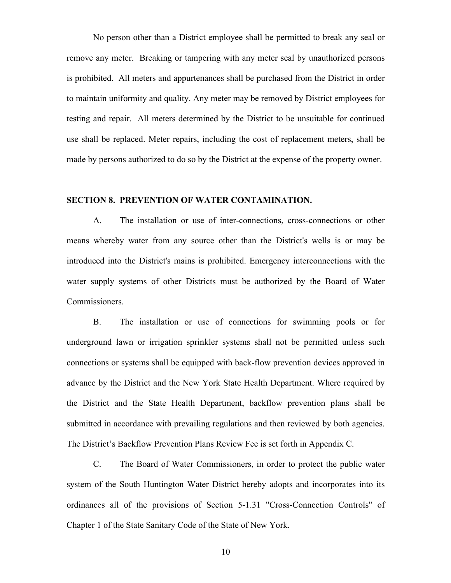No person other than a District employee shall be permitted to break any seal or remove any meter. Breaking or tampering with any meter seal by unauthorized persons is prohibited. All meters and appurtenances shall be purchased from the District in order to maintain uniformity and quality. Any meter may be removed by District employees for testing and repair. All meters determined by the District to be unsuitable for continued use shall be replaced. Meter repairs, including the cost of replacement meters, shall be made by persons authorized to do so by the District at the expense of the property owner.

#### **SECTION 8. PREVENTION OF WATER CONTAMINATION.**

A. The installation or use of inter-connections, cross-connections or other means whereby water from any source other than the District's wells is or may be introduced into the District's mains is prohibited. Emergency interconnections with the water supply systems of other Districts must be authorized by the Board of Water Commissioners.

B. The installation or use of connections for swimming pools or for underground lawn or irrigation sprinkler systems shall not be permitted unless such connections or systems shall be equipped with back-flow prevention devices approved in advance by the District and the New York State Health Department. Where required by the District and the State Health Department, backflow prevention plans shall be submitted in accordance with prevailing regulations and then reviewed by both agencies. The District's Backflow Prevention Plans Review Fee is set forth in Appendix C.

C. The Board of Water Commissioners, in order to protect the public water system of the South Huntington Water District hereby adopts and incorporates into its ordinances all of the provisions of Section 5-1.31 "Cross-Connection Controls" of Chapter 1 of the State Sanitary Code of the State of New York.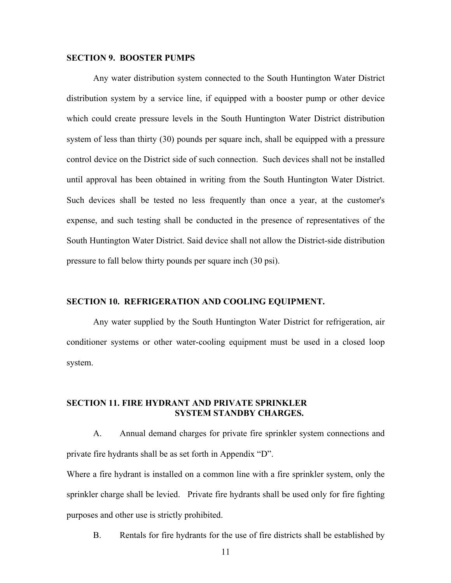## **SECTION 9. BOOSTER PUMPS**

Any water distribution system connected to the South Huntington Water District distribution system by a service line, if equipped with a booster pump or other device which could create pressure levels in the South Huntington Water District distribution system of less than thirty (30) pounds per square inch, shall be equipped with a pressure control device on the District side of such connection. Such devices shall not be installed until approval has been obtained in writing from the South Huntington Water District. Such devices shall be tested no less frequently than once a year, at the customer's expense, and such testing shall be conducted in the presence of representatives of the South Huntington Water District. Said device shall not allow the District-side distribution pressure to fall below thirty pounds per square inch (30 psi).

#### **SECTION 10. REFRIGERATION AND COOLING EQUIPMENT.**

Any water supplied by the South Huntington Water District for refrigeration, air conditioner systems or other water-cooling equipment must be used in a closed loop system.

## **SECTION 11. FIRE HYDRANT AND PRIVATE SPRINKLER SYSTEM STANDBY CHARGES.**

A. Annual demand charges for private fire sprinkler system connections and private fire hydrants shall be as set forth in Appendix "D".

Where a fire hydrant is installed on a common line with a fire sprinkler system, only the sprinkler charge shall be levied. Private fire hydrants shall be used only for fire fighting purposes and other use is strictly prohibited.

B. Rentals for fire hydrants for the use of fire districts shall be established by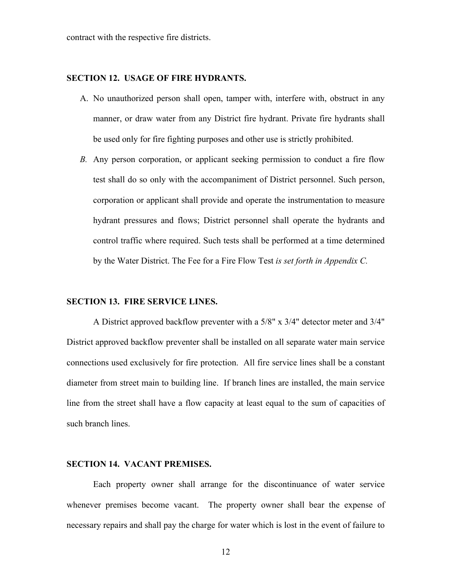contract with the respective fire districts.

## **SECTION 12. USAGE OF FIRE HYDRANTS.**

- A. No unauthorized person shall open, tamper with, interfere with, obstruct in any manner, or draw water from any District fire hydrant. Private fire hydrants shall be used only for fire fighting purposes and other use is strictly prohibited.
- *B.* Any person corporation, or applicant seeking permission to conduct a fire flow test shall do so only with the accompaniment of District personnel. Such person, corporation or applicant shall provide and operate the instrumentation to measure hydrant pressures and flows; District personnel shall operate the hydrants and control traffic where required. Such tests shall be performed at a time determined by the Water District. The Fee for a Fire Flow Test *is set forth in Appendix C.*

#### **SECTION 13. FIRE SERVICE LINES.**

A District approved backflow preventer with a 5/8" x 3/4" detector meter and 3/4" District approved backflow preventer shall be installed on all separate water main service connections used exclusively for fire protection. All fire service lines shall be a constant diameter from street main to building line. If branch lines are installed, the main service line from the street shall have a flow capacity at least equal to the sum of capacities of such branch lines.

#### **SECTION 14. VACANT PREMISES.**

Each property owner shall arrange for the discontinuance of water service whenever premises become vacant. The property owner shall bear the expense of necessary repairs and shall pay the charge for water which is lost in the event of failure to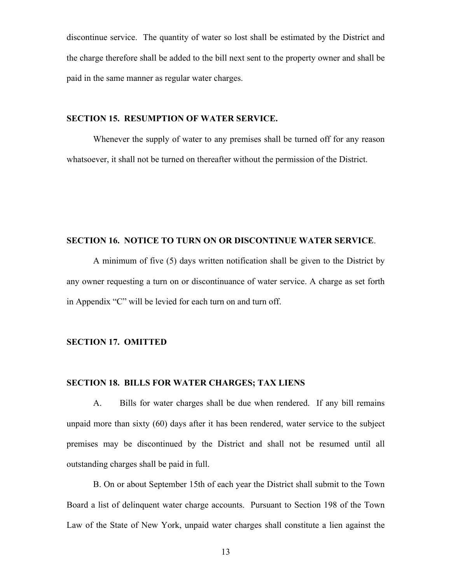discontinue service. The quantity of water so lost shall be estimated by the District and the charge therefore shall be added to the bill next sent to the property owner and shall be paid in the same manner as regular water charges.

## **SECTION 15. RESUMPTION OF WATER SERVICE.**

Whenever the supply of water to any premises shall be turned off for any reason whatsoever, it shall not be turned on thereafter without the permission of the District.

# **SECTION 16. NOTICE TO TURN ON OR DISCONTINUE WATER SERVICE**.

A minimum of five (5) days written notification shall be given to the District by any owner requesting a turn on or discontinuance of water service. A charge as set forth in Appendix "C" will be levied for each turn on and turn off.

# **SECTION 17. OMITTED**

#### **SECTION 18. BILLS FOR WATER CHARGES; TAX LIENS**

A. Bills for water charges shall be due when rendered. If any bill remains unpaid more than sixty (60) days after it has been rendered, water service to the subject premises may be discontinued by the District and shall not be resumed until all outstanding charges shall be paid in full.

B. On or about September 15th of each year the District shall submit to the Town Board a list of delinquent water charge accounts. Pursuant to Section 198 of the Town Law of the State of New York, unpaid water charges shall constitute a lien against the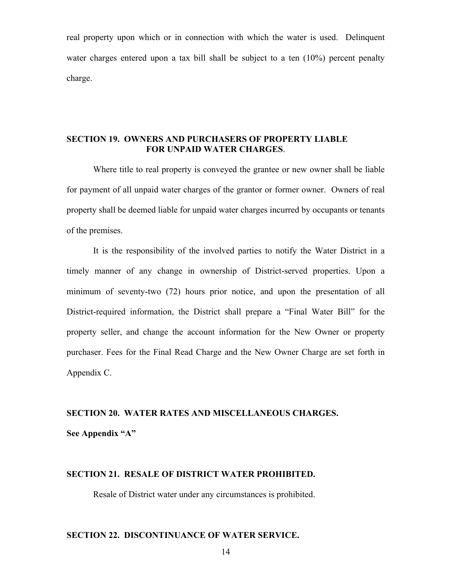real property upon which or in connection with which the water is used. Delinquent water charges entered upon a tax bill shall be subject to a ten  $(10\%)$  percent penalty charge.

## **SECTION 19. OWNERS AND PURCHASERS OF PROPERTY LIABLE FOR UNPAID WATER CHARGES**.

Where title to real property is conveyed the grantee or new owner shall be liable for payment of all unpaid water charges of the grantor or former owner. Owners of real property shall be deemed liable for unpaid water charges incurred by occupants or tenants of the premises.

It is the responsibility of the involved parties to notify the Water District in a timely manner of any change in ownership of District-served properties. Upon a minimum of seventy-two (72) hours prior notice, and upon the presentation of all District-required information, the District shall prepare a "Final Water Bill" for the property seller, and change the account information for the New Owner or property purchaser. Fees for the Final Read Charge and the New Owner Charge are set forth in Appendix C.

# **SECTION 20. WATER RATES AND MISCELLANEOUS CHARGES. See Appendix "A"**

### **SECTION 21. RESALE OF DISTRICT WATER PROHIBITED.**

Resale of District water under any circumstances is prohibited.

## **SECTION 22. DISCONTINUANCE OF WATER SERVICE.**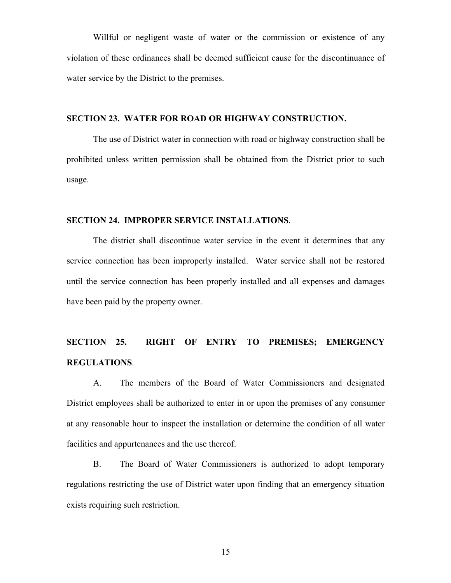Willful or negligent waste of water or the commission or existence of any violation of these ordinances shall be deemed sufficient cause for the discontinuance of water service by the District to the premises.

## **SECTION 23. WATER FOR ROAD OR HIGHWAY CONSTRUCTION.**

The use of District water in connection with road or highway construction shall be prohibited unless written permission shall be obtained from the District prior to such usage.

#### **SECTION 24. IMPROPER SERVICE INSTALLATIONS**.

The district shall discontinue water service in the event it determines that any service connection has been improperly installed. Water service shall not be restored until the service connection has been properly installed and all expenses and damages have been paid by the property owner.

# **SECTION 25. RIGHT OF ENTRY TO PREMISES; EMERGENCY REGULATIONS**.

A. The members of the Board of Water Commissioners and designated District employees shall be authorized to enter in or upon the premises of any consumer at any reasonable hour to inspect the installation or determine the condition of all water facilities and appurtenances and the use thereof.

B. The Board of Water Commissioners is authorized to adopt temporary regulations restricting the use of District water upon finding that an emergency situation exists requiring such restriction.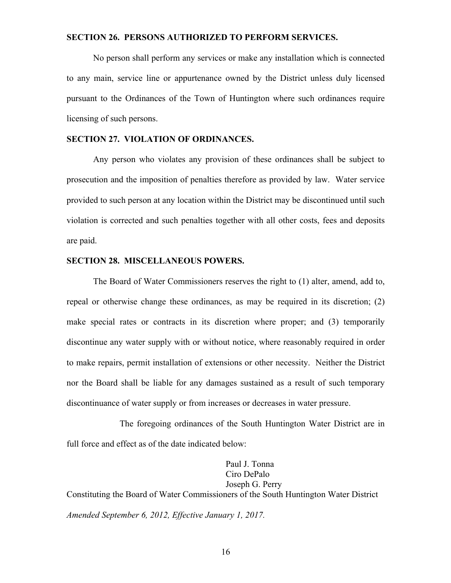### **SECTION 26. PERSONS AUTHORIZED TO PERFORM SERVICES.**

No person shall perform any services or make any installation which is connected to any main, service line or appurtenance owned by the District unless duly licensed pursuant to the Ordinances of the Town of Huntington where such ordinances require licensing of such persons.

## **SECTION 27. VIOLATION OF ORDINANCES.**

Any person who violates any provision of these ordinances shall be subject to prosecution and the imposition of penalties therefore as provided by law. Water service provided to such person at any location within the District may be discontinued until such violation is corrected and such penalties together with all other costs, fees and deposits are paid.

#### **SECTION 28. MISCELLANEOUS POWERS.**

The Board of Water Commissioners reserves the right to (1) alter, amend, add to, repeal or otherwise change these ordinances, as may be required in its discretion; (2) make special rates or contracts in its discretion where proper; and (3) temporarily discontinue any water supply with or without notice, where reasonably required in order to make repairs, permit installation of extensions or other necessity. Neither the District nor the Board shall be liable for any damages sustained as a result of such temporary discontinuance of water supply or from increases or decreases in water pressure.

The foregoing ordinances of the South Huntington Water District are in full force and effect as of the date indicated below:

 Paul J. Tonna Ciro DePalo Joseph G. Perry Constituting the Board of Water Commissioners of the South Huntington Water District *Amended September 6, 2012, Effective January 1, 2017.*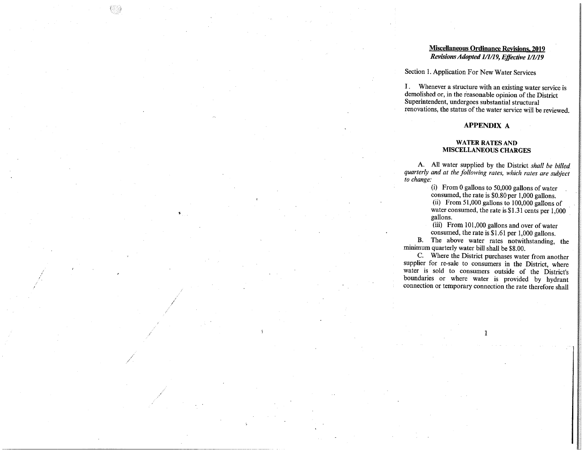#### **Miscellaneous Ordinance Revisions, 2019** Revisions Adopted 1/1/19, Effective 1/1/19

#### Section 1. Application For New Water Services

 $\mathbf{I}$ . Whenever a structure with an existing water service is demolished or, in the reasonable opinion of the District Superintendent, undergoes substantial structural renovations, the status of the water service will be reviewed.

#### **APPENDIX A**

#### **WATER RATES AND MISCELLANEOUS CHARGES**

A. All water supplied by the District shall be billed quarterly and at the following rates, which rates are subject to change:

> (i) From 0 gallons to  $50,000$  gallons of water consumed, the rate is \$0.80 per 1,000 gallons.

(ii) From 51,000 gallons to 100,000 gallons of water consumed, the rate is \$1.31 cents per 1,000 gallons.

(iii) From 101,000 gallons and over of water consumed, the rate is  $$1.61$  per 1.000 gallons.

 $\mathbf{R}$ . The above water rates notwithstanding, the minimum quarterly water bill shall be \$8.00.

C. Where the District purchases water from another supplier for re-sale to consumers in the District, where water is sold to consumers outside of the District's boundaries or where water is provided by hydrant connection or temporary connection the rate therefore shall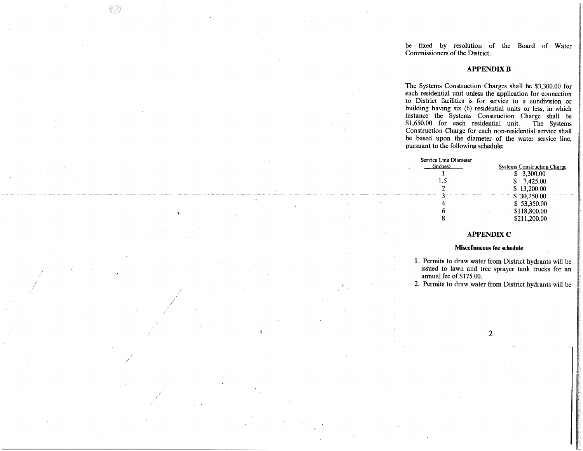be fixed by resolution of the Board of Water Commissioners of the District

#### **APPENDIX R**

The Systems Construction Charges shall be \$3,300.00 for each residential unit unless the application for connection to District facilities is for service to a subdivision or building having six (6) residential units or less, in which instance the Systems Construction Charge shall be \$1,650.00 for each residential unit. The Systems Construction Charge for each non-residential service shall be based upon the diameter of the water service line. pursuant to the following schedule:

| Service Line Diameter |                                    |
|-----------------------|------------------------------------|
| (inches)              | <b>Systems Construction Charge</b> |
|                       | \$ 3,300,00                        |
| 1.5                   | 7,425.00                           |
| . 2                   | \$13,200.00                        |
|                       | \$30,250.00                        |
|                       | \$53,350.00                        |
|                       | \$118,800.00                       |
|                       | \$211.200.00                       |

#### **APPENDIX C**

#### Miscellaneous fee schedule

- 1. Permits to draw water from District hydrants will be issued to lawn and tree sprayer tank trucks for an annual fee of \$175.00.
- 2. Permits to draw water from District hydrants will be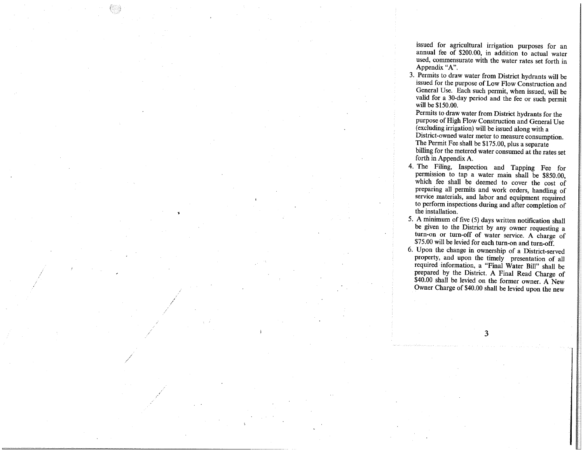issued for agricultural irrigation purposes for an annual fee of \$200.00, in addition to actual water used, commensurate with the water rates set forth in Appendix "A".

3. Permits to draw water from District hydrants will be issued for the purpose of Low Flow Construction and General Use. Each such permit, when issued, will be valid for a 30-day period and the fee or such permit will be \$150.00.

Permits to draw water from District hydrants for the purpose of High Flow Construction and General Use (excluding irrigation) will be issued along with a District-owned water meter to measure consumption. The Permit Fee shall be \$175.00, plus a separate billing for the metered water consumed at the rates set forth in Appendix A.

- 4. The Filing, Inspection and Tapping Fee  $for$ permission to tap a water main shall be \$850.00, which fee shall be deemed to cover the cost of preparing all permits and work orders, handling of service materials, and labor and equipment required to perform inspections during and after completion of the installation
- 5. A minimum of five (5) days written notification shall be given to the District by any owner requesting a turn-on or turn-off of water service. A charge of \$75.00 will be levied for each turn-on and turn-off.
- 6. Upon the change in ownership of a District-served property, and upon the timely presentation of all required information, a "Final Water Bill" shall be prepared by the District. A Final Read Charge of \$40.00 shall be levied on the former owner. A New Owner Charge of \$40.00 shall be levied upon the new